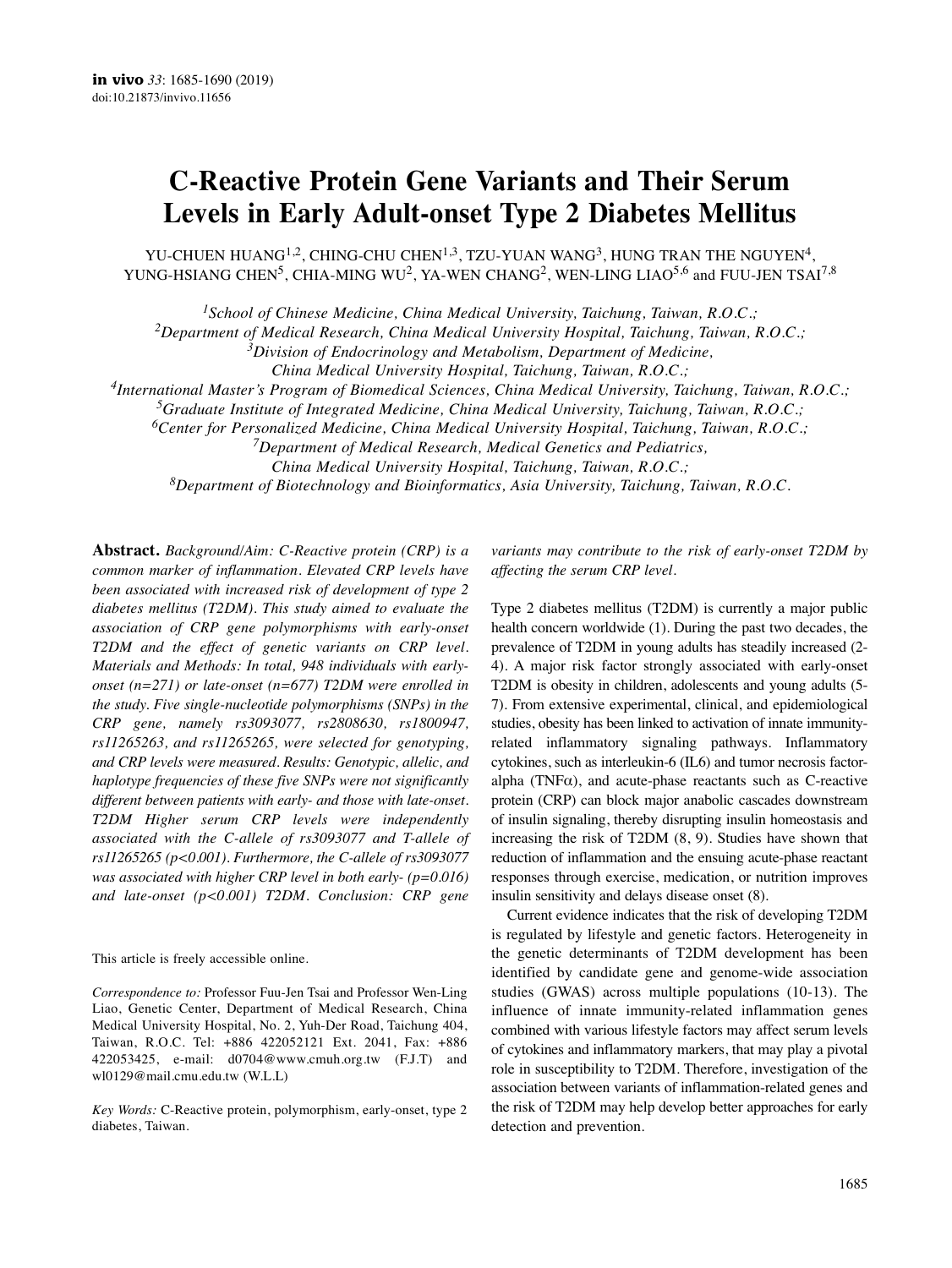# **C-Reactive Protein Gene Variants and Their Serum Levels in Early Adult-onset Type 2 Diabetes Mellitus**

YU-CHUEN HUANG<sup>1,2</sup>, CHING-CHU CHEN<sup>1,3</sup>, TZU-YUAN WANG<sup>3</sup>, HUNG TRAN THE NGUYEN<sup>4</sup>, YUNG-HSIANG CHEN<sup>5</sup>, CHIA-MING WU<sup>2</sup>, YA-WEN CHANG<sup>2</sup>, WEN-LING LIAO<sup>5,6</sup> and FUU-JEN TSAI<sup>7,8</sup>

*1School of Chinese Medicine, China Medical University, Taichung, Taiwan, R.O.C.;*

*2Department of Medical Research, China Medical University Hospital, Taichung, Taiwan, R.O.C.;*

*3Division of Endocrinology and Metabolism, Department of Medicine,*

*China Medical University Hospital, Taichung, Taiwan, R.O.C.;*

*4International Master's Program of Biomedical Sciences, China Medical University, Taichung, Taiwan, R.O.C.;*

*5Graduate Institute of Integrated Medicine, China Medical University, Taichung, Taiwan, R.O.C.;*

*6Center for Personalized Medicine, China Medical University Hospital, Taichung, Taiwan, R.O.C.;*

*7Department of Medical Research, Medical Genetics and Pediatrics,*

*China Medical University Hospital, Taichung, Taiwan, R.O.C.;*

*8Department of Biotechnology and Bioinformatics, Asia University, Taichung, Taiwan, R.O.C.*

**Abstract.** *Background/Aim: C-Reactive protein (CRP) is a common marker of inflammation. Elevated CRP levels have been associated with increased risk of development of type 2 diabetes mellitus (T2DM). This study aimed to evaluate the association of CRP gene polymorphisms with early-onset T2DM and the effect of genetic variants on CRP level. Materials and Methods: In total, 948 individuals with earlyonset (n=271) or late-onset (n=677) T2DM were enrolled in the study. Five single-nucleotide polymorphisms (SNPs) in the CRP gene, namely rs3093077, rs2808630, rs1800947, rs11265263, and rs11265265, were selected for genotyping, and CRP levels were measured. Results: Genotypic, allelic, and haplotype frequencies of these five SNPs were not significantly different between patients with early- and those with late-onset. T2DM Higher serum CRP levels were independently associated with the C-allele of rs3093077 and T-allele of rs11265265 (p<0.001). Furthermore, the C-allele of rs3093077 was associated with higher CRP level in both early- (p=0.016) and late-onset (p<0.001) T2DM. Conclusion: CRP gene*

This article is freely accessible online.

*Correspondence to:* Professor Fuu-Jen Tsai and Professor Wen-Ling Liao, Genetic Center, Department of Medical Research, China Medical University Hospital, No. 2, Yuh-Der Road, Taichung 404, Taiwan, R.O.C. Tel: +886 422052121 Ext. 2041, Fax: +886 422053425, e-mail: d0704@www.cmuh.org.tw (F.J.T) and wl0129@mail.cmu.edu.tw (W.L.L)

*Key Words:* C-Reactive protein, polymorphism, early-onset, type 2 diabetes, Taiwan.

*variants may contribute to the risk of early-onset T2DM by affecting the serum CRP level.*

Type 2 diabetes mellitus (T2DM) is currently a major public health concern worldwide (1). During the past two decades, the prevalence of T2DM in young adults has steadily increased (2- 4). A major risk factor strongly associated with early-onset T2DM is obesity in children, adolescents and young adults (5- 7). From extensive experimental, clinical, and epidemiological studies, obesity has been linked to activation of innate immunityrelated inflammatory signaling pathways. Inflammatory cytokines, such as interleukin-6 (IL6) and tumor necrosis factoralpha (TNF $\alpha$ ), and acute-phase reactants such as C-reactive protein (CRP) can block major anabolic cascades downstream of insulin signaling, thereby disrupting insulin homeostasis and increasing the risk of T2DM (8, 9). Studies have shown that reduction of inflammation and the ensuing acute-phase reactant responses through exercise, medication, or nutrition improves insulin sensitivity and delays disease onset (8).

Current evidence indicates that the risk of developing T2DM is regulated by lifestyle and genetic factors. Heterogeneity in the genetic determinants of T2DM development has been identified by candidate gene and genome-wide association studies (GWAS) across multiple populations (10-13). The influence of innate immunity-related inflammation genes combined with various lifestyle factors may affect serum levels of cytokines and inflammatory markers, that may play a pivotal role in susceptibility to T2DM. Therefore, investigation of the association between variants of inflammation-related genes and the risk of T2DM may help develop better approaches for early detection and prevention.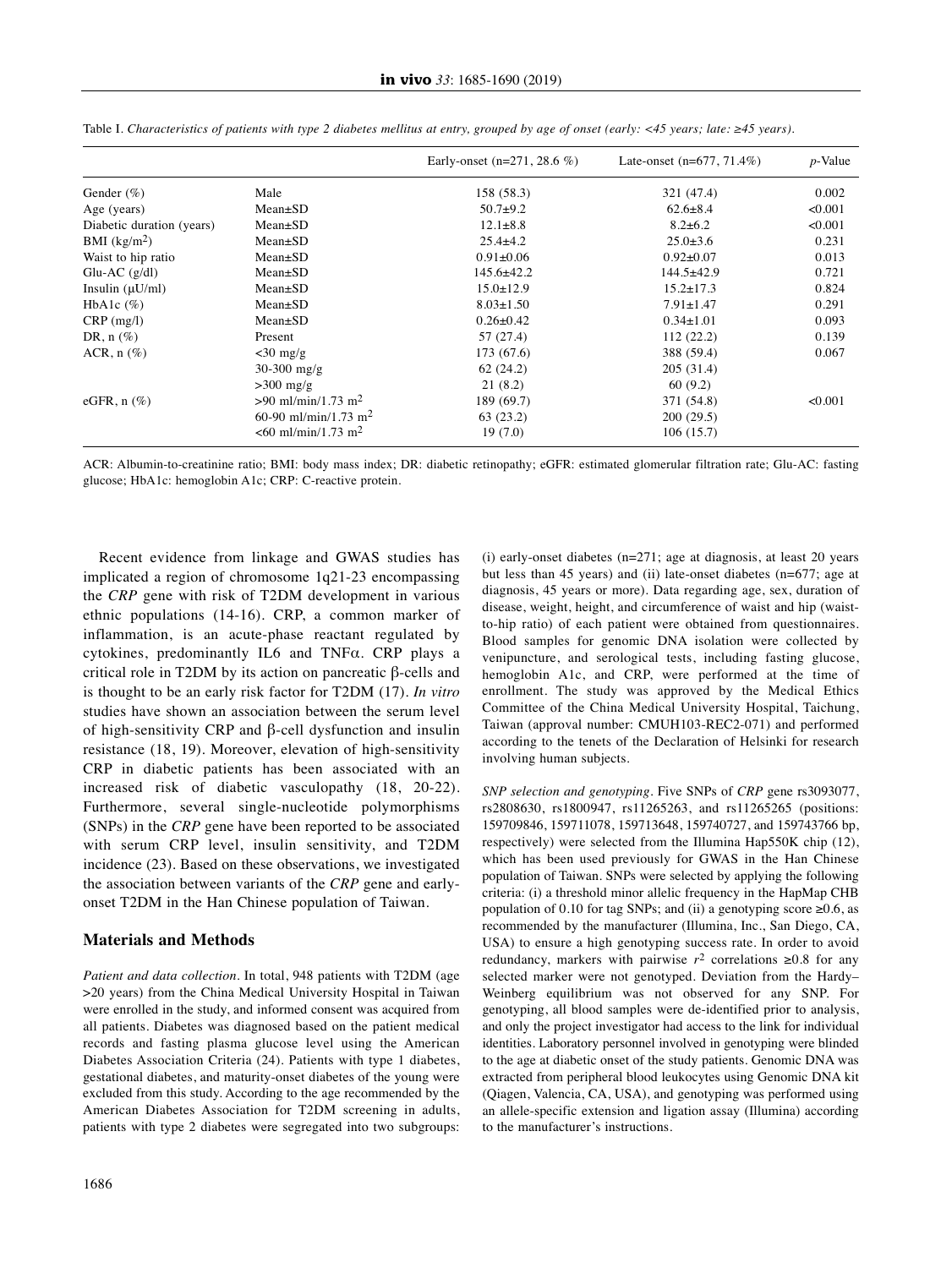|                           |                                   | Early-onset $(n=271, 28.6 %)$ | Late-onset $(n=677, 71.4\%)$ | $p$ -Value |
|---------------------------|-----------------------------------|-------------------------------|------------------------------|------------|
| Gender $(\% )$            | Male                              | 158 (58.3)                    | 321 (47.4)                   | 0.002      |
| Age (years)               | $Mean \pm SD$                     | $50.7+9.2$                    | $62.6 \pm 8.4$               | < 0.001    |
| Diabetic duration (years) | $Mean \pm SD$                     | $12.1 \pm 8.8$                | $8.2 \pm 6.2$                | < 0.001    |
| BMI $(kg/m2)$             | $Mean \pm SD$                     | $25.4 \pm 4.2$                | $25.0 \pm 3.6$               | 0.231      |
| Waist to hip ratio        | $Mean \pm SD$                     | $0.91 \pm 0.06$               | $0.92 \pm 0.07$              | 0.013      |
| Glu-AC $(g/dl)$           | $Mean \pm SD$                     | $145.6 \pm 42.2$              | $144.5 \pm 42.9$             | 0.721      |
| Insulin $(\mu U/ml)$      | $Mean \pm SD$                     | $15.0 \pm 12.9$               | $15.2 \pm 17.3$              | 0.824      |
| HbA1c $(\%)$              | $Mean \pm SD$                     | $8.03 \pm 1.50$               | $7.91 \pm 1.47$              | 0.291      |
| $CRP$ (mg/l)              | $Mean \pm SD$                     | $0.26 \pm 0.42$               | $0.34 \pm 1.01$              | 0.093      |
| DR, $n$ $(\%)$            | Present                           | 57(27.4)                      | 112(22.2)                    | 0.139      |
| $ACR$ , n $(\%)$          | $<$ 30 mg/g                       | 173 (67.6)                    | 388 (59.4)                   | 0.067      |
|                           | $30-300$ mg/g                     | 62(24.2)                      | 205(31.4)                    |            |
|                           | $>300$ mg/g                       | 21(8.2)                       | 60(9.2)                      |            |
| eGFR, $n$ $(\%)$          | $>90$ ml/min/1.73 m <sup>2</sup>  | 189 (69.7)                    | 371 (54.8)                   | < 0.001    |
|                           | 60-90 ml/min/1.73 m <sup>2</sup>  | 63(23.2)                      | 200(29.5)                    |            |
|                           | $< 60$ ml/min/1.73 m <sup>2</sup> | 19(7.0)                       | 106(15.7)                    |            |

Table I. Characteristics of patients with type 2 diabetes mellitus at entry, grouped by age of onset (early: <45 years; late:  $\geq$ 45 years).

ACR: Albumin-to-creatinine ratio; BMI: body mass index; DR: diabetic retinopathy; eGFR: estimated glomerular filtration rate; Glu-AC: fasting glucose; HbA1c: hemoglobin A1c; CRP: C-reactive protein.

Recent evidence from linkage and GWAS studies has implicated a region of chromosome 1q21-23 encompassing the *CRP* gene with risk of T2DM development in various ethnic populations (14-16). CRP, a common marker of inflammation, is an acute-phase reactant regulated by cytokines, predominantly IL6 and TNFα. CRP plays a critical role in T2DM by its action on pancreatic β-cells and is thought to be an early risk factor for T2DM (17). *In vitro* studies have shown an association between the serum level of high-sensitivity CRP and β-cell dysfunction and insulin resistance (18, 19). Moreover, elevation of high-sensitivity CRP in diabetic patients has been associated with an increased risk of diabetic vasculopathy (18, 20-22). Furthermore, several single-nucleotide polymorphisms (SNPs) in the *CRP* gene have been reported to be associated with serum CRP level, insulin sensitivity, and T2DM incidence (23). Based on these observations, we investigated the association between variants of the *CRP* gene and earlyonset T2DM in the Han Chinese population of Taiwan.

### **Materials and Methods**

*Patient and data collection.* In total, 948 patients with T2DM (age >20 years) from the China Medical University Hospital in Taiwan were enrolled in the study, and informed consent was acquired from all patients. Diabetes was diagnosed based on the patient medical records and fasting plasma glucose level using the American Diabetes Association Criteria (24). Patients with type 1 diabetes, gestational diabetes, and maturity-onset diabetes of the young were excluded from this study. According to the age recommended by the American Diabetes Association for T2DM screening in adults, patients with type 2 diabetes were segregated into two subgroups: (i) early-onset diabetes (n=271; age at diagnosis, at least 20 years but less than 45 years) and (ii) late-onset diabetes (n=677; age at diagnosis, 45 years or more). Data regarding age, sex, duration of disease, weight, height, and circumference of waist and hip (waistto-hip ratio) of each patient were obtained from questionnaires. Blood samples for genomic DNA isolation were collected by venipuncture, and serological tests, including fasting glucose, hemoglobin A1c, and CRP, were performed at the time of enrollment. The study was approved by the Medical Ethics Committee of the China Medical University Hospital, Taichung, Taiwan (approval number: CMUH103-REC2-071) and performed according to the tenets of the Declaration of Helsinki for research involving human subjects.

*SNP selection and genotyping.* Five SNPs of *CRP* gene rs3093077, rs2808630, rs1800947, rs11265263, and rs11265265 (positions: 159709846, 159711078, 159713648, 159740727, and 159743766 bp, respectively) were selected from the Illumina Hap550K chip (12), which has been used previously for GWAS in the Han Chinese population of Taiwan. SNPs were selected by applying the following criteria: (i) a threshold minor allelic frequency in the HapMap CHB population of 0.10 for tag SNPs; and (ii) a genotyping score  $\geq 0.6$ , as recommended by the manufacturer (Illumina, Inc., San Diego, CA, USA) to ensure a high genotyping success rate. In order to avoid redundancy, markers with pairwise  $r^2$  correlations  $\geq 0.8$  for any selected marker were not genotyped. Deviation from the Hardy– Weinberg equilibrium was not observed for any SNP. For genotyping, all blood samples were de-identified prior to analysis, and only the project investigator had access to the link for individual identities. Laboratory personnel involved in genotyping were blinded to the age at diabetic onset of the study patients. Genomic DNA was extracted from peripheral blood leukocytes using Genomic DNA kit (Qiagen, Valencia, CA, USA), and genotyping was performed using an allele-specific extension and ligation assay (Illumina) according to the manufacturer's instructions.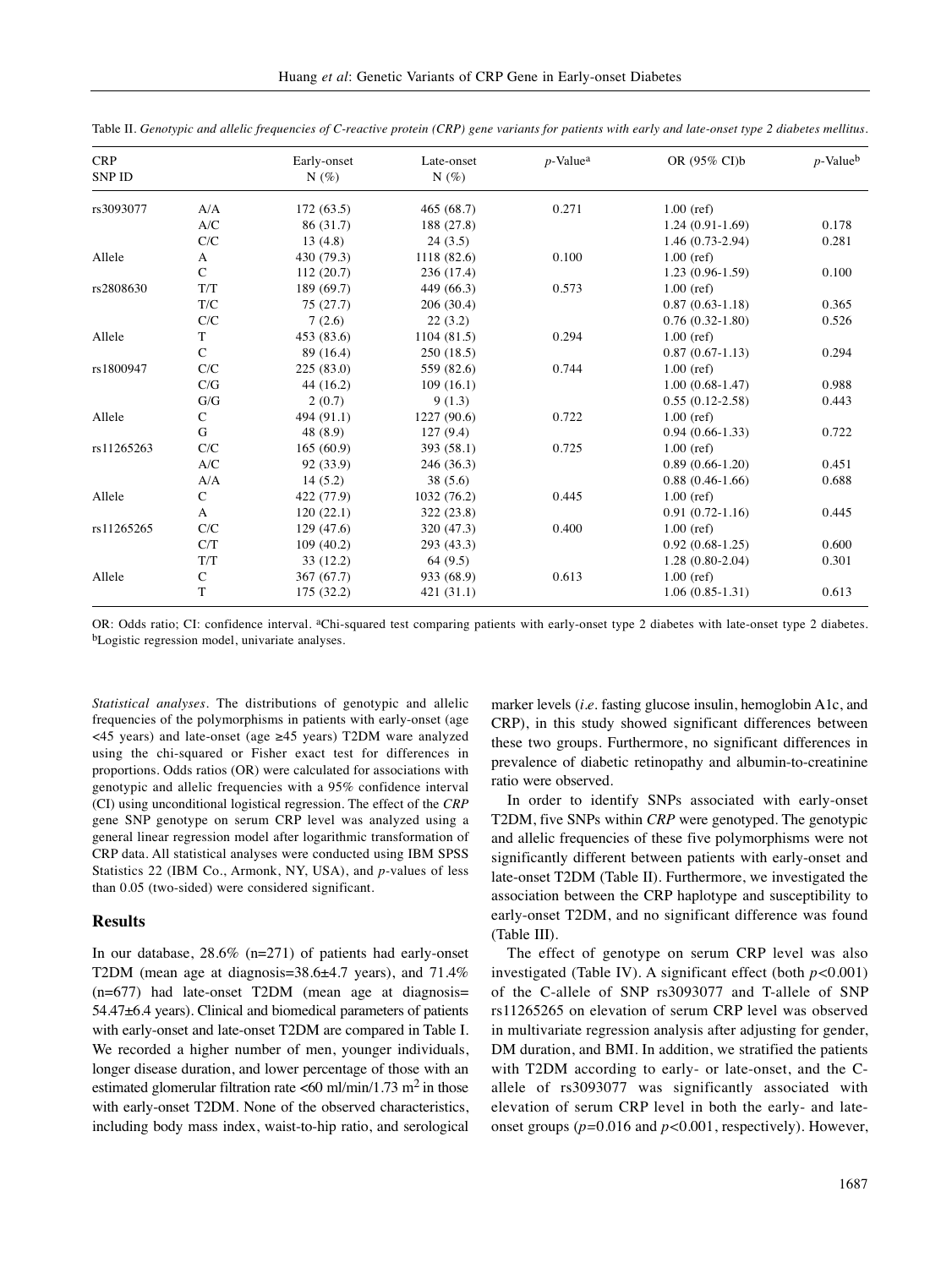| <b>CRP</b><br><b>SNP ID</b> |                                                                   | Early-onset<br>$N(\%)$ | Late-onset<br>$N(\%)$ | $p$ -Value <sup>a</sup> | OR (95% CI)b      | $p$ -Value <sup>b</sup> |
|-----------------------------|-------------------------------------------------------------------|------------------------|-----------------------|-------------------------|-------------------|-------------------------|
| rs3093077                   | A/A                                                               | 172(63.5)              | 465 (68.7)            | 0.271                   | $1.00$ (ref)      |                         |
|                             | A/C                                                               | 86(31.7)               | 188 (27.8)            |                         | $1.24(0.91-1.69)$ | 0.178                   |
|                             | ${\rm C/C}$                                                       | 13(4.8)                | 24(3.5)               |                         | $1.46(0.73-2.94)$ | 0.281                   |
| Allele                      | A                                                                 | 430 (79.3)             | 1118 (82.6)           | 0.100                   | $1.00$ (ref)      |                         |
|                             | $\mathsf{C}$                                                      | 112(20.7)              | 236 (17.4)            |                         | $1.23(0.96-1.59)$ | 0.100                   |
| rs2808630                   | T/T                                                               | 189 (69.7)             | 449 (66.3)            | 0.573                   | $1.00$ (ref)      |                         |
|                             | $\mathrm{T}/\mathrm{C}$                                           | 75(27.7)               | 206 (30.4)            |                         | $0.87(0.63-1.18)$ | 0.365                   |
|                             | C/C                                                               | 7(2.6)                 | 22(3.2)               |                         | $0.76(0.32-1.80)$ | 0.526                   |
| Allele                      | $\mathbf T$                                                       | 453 (83.6)             | 1104(81.5)            | 0.294                   | $1.00$ (ref)      |                         |
|                             | $\mathsf{C}$                                                      | 89 (16.4)              | 250 (18.5)            |                         | $0.87(0.67-1.13)$ | 0.294                   |
| rs1800947                   | C/C                                                               | 225(83.0)              | 559 (82.6)            | 0.744                   | $1.00$ (ref)      |                         |
|                             | $\mathrm{C/G}$                                                    | 44 (16.2)              | 109(16.1)             |                         | $1.00(0.68-1.47)$ | 0.988                   |
|                             | G/G                                                               | 2(0.7)                 | 9(1.3)                |                         | $0.55(0.12-2.58)$ | 0.443                   |
| Allele                      | $\mathsf{C}$                                                      | 494 (91.1)             | 1227(90.6)            | 0.722                   | $1.00$ (ref)      |                         |
|                             | G                                                                 | 48 (8.9)               | 127(9.4)              |                         | $0.94(0.66-1.33)$ | 0.722                   |
| rs11265263                  | C/C                                                               | 165(60.9)              | 393 (58.1)            | 0.725                   | $1.00$ (ref)      |                         |
|                             | $\ensuremath{\mathcal{A}}\xspace/\ensuremath{\mathcal{C}}\xspace$ | 92 (33.9)              | 246 (36.3)            |                         | $0.89(0.66-1.20)$ | 0.451                   |
|                             | A/A                                                               | 14(5.2)                | 38(5.6)               |                         | $0.88(0.46-1.66)$ | 0.688                   |
| Allele                      | $\mathsf{C}$                                                      | 422 (77.9)             | 1032(76.2)            | 0.445                   | $1.00$ (ref)      |                         |
|                             | A                                                                 | 120(22.1)              | 322 (23.8)            |                         | $0.91(0.72-1.16)$ | 0.445                   |
| rs11265265                  | C/C                                                               | 129(47.6)              | 320 (47.3)            | 0.400                   | $1.00$ (ref)      |                         |
|                             | C/T                                                               | 109(40.2)              | 293 (43.3)            |                         | $0.92(0.68-1.25)$ | 0.600                   |
|                             | T/T                                                               | 33(12.2)               | 64 (9.5)              |                         | $1.28(0.80-2.04)$ | 0.301                   |
| Allele                      | $\mathbf C$                                                       | 367 (67.7)             | 933 (68.9)            | 0.613                   | $1.00$ (ref)      |                         |
|                             | T                                                                 | 175 (32.2)             | 421 (31.1)            |                         | $1.06(0.85-1.31)$ | 0.613                   |

Table II. Genotypic and allelic frequencies of C-reactive protein (CRP) gene variants for patients with early and late-onset type 2 diabetes mellitus.

OR: Odds ratio; CI: confidence interval. <sup>a</sup>Chi-squared test comparing patients with early-onset type 2 diabetes with late-onset type 2 diabetes. bLogistic regression model, univariate analyses.

*Statistical analyses.* The distributions of genotypic and allelic frequencies of the polymorphisms in patients with early-onset (age <45 years) and late-onset (age ≥45 years) T2DM ware analyzed using the chi-squared or Fisher exact test for differences in proportions. Odds ratios (OR) were calculated for associations with genotypic and allelic frequencies with a 95% confidence interval (CI) using unconditional logistical regression. The effect of the *CRP* gene SNP genotype on serum CRP level was analyzed using a general linear regression model after logarithmic transformation of CRP data. All statistical analyses were conducted using IBM SPSS Statistics 22 (IBM Co., Armonk, NY, USA), and *p-*values of less than 0.05 (two-sided) were considered significant.

## **Results**

In our database, 28.6% (n=271) of patients had early-onset T2DM (mean age at diagnosis=38.6±4.7 years), and 71.4% (n=677) had late-onset T2DM (mean age at diagnosis= 54.47±6.4 years). Clinical and biomedical parameters of patients with early-onset and late-onset T2DM are compared in Table I. We recorded a higher number of men, younger individuals, longer disease duration, and lower percentage of those with an estimated glomerular filtration rate <60 ml/min/1.73 m<sup>2</sup> in those with early-onset T2DM. None of the observed characteristics, including body mass index, waist-to-hip ratio, and serological marker levels (*i.e.* fasting glucose insulin, hemoglobin A1c, and CRP), in this study showed significant differences between these two groups. Furthermore, no significant differences in prevalence of diabetic retinopathy and albumin-to-creatinine ratio were observed.

In order to identify SNPs associated with early-onset T2DM, five SNPs within *CRP* were genotyped. The genotypic and allelic frequencies of these five polymorphisms were not significantly different between patients with early-onset and late-onset T2DM (Table II). Furthermore, we investigated the association between the CRP haplotype and susceptibility to early-onset T2DM, and no significant difference was found (Table III).

The effect of genotype on serum CRP level was also investigated (Table IV). A significant effect (both *p<*0.001) of the C-allele of SNP rs3093077 and T-allele of SNP rs11265265 on elevation of serum CRP level was observed in multivariate regression analysis after adjusting for gender, DM duration, and BMI. In addition, we stratified the patients with T2DM according to early- or late-onset, and the Callele of rs3093077 was significantly associated with elevation of serum CRP level in both the early- and lateonset groups (*p=*0.016 and *p<*0.001, respectively). However,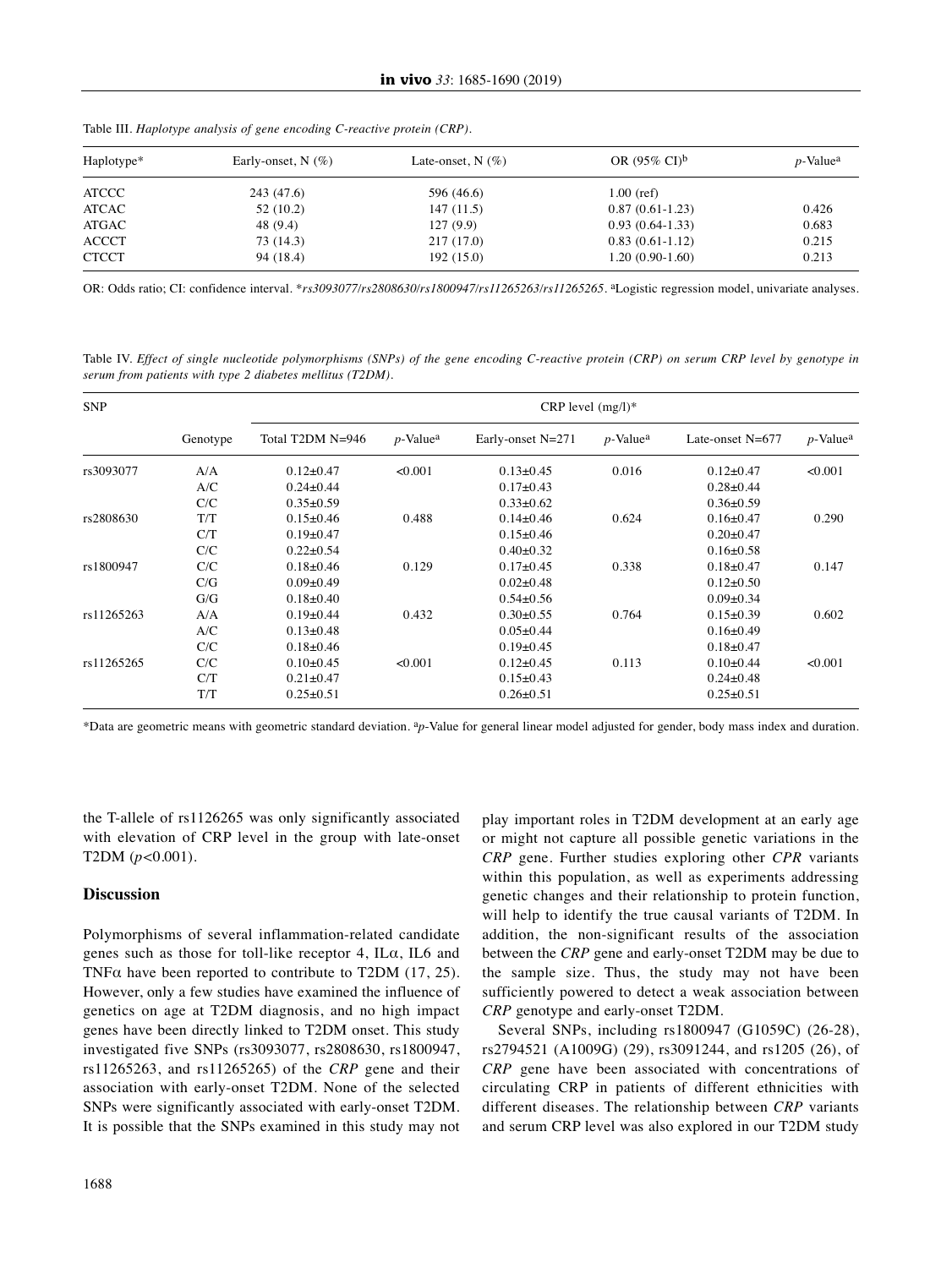| Haplotype*   | Early-onset, $N$ (%) | Late-onset, $N(\%)$ | OR $(95\% \text{ CI})^{\text{b}}$ | $p$ -Value <sup>a</sup> |
|--------------|----------------------|---------------------|-----------------------------------|-------------------------|
| <b>ATCCC</b> | 243 (47.6)           | 596 (46.6)          | $1.00$ (ref)                      |                         |
| ATCAC        | 52(10.2)             | 147(11.5)           | $0.87(0.61-1.23)$                 | 0.426                   |
| ATGAC        | 48 (9.4)             | 127(9.9)            | $0.93(0.64-1.33)$                 | 0.683                   |
| <b>ACCCT</b> | 73 (14.3)            | 217(17.0)           | $0.83(0.61-1.12)$                 | 0.215                   |
| <b>CTCCT</b> | 94 (18.4)            | 192(15.0)           | $1.20(0.90-1.60)$                 | 0.213                   |

Table III. *Haplotype analysis of gene encoding C-reactive protein (CRP).*

OR: Odds ratio; CI: confidence interval. \**rs3093077/rs2808630/rs1800947/rs11265263/rs11265265*. aLogistic regression model, univariate analyses.

Table IV. Effect of single nucleotide polymorphisms (SNPs) of the gene encoding C-reactive protein (CRP) on serum CRP level by genotype in *serum from patients with type 2 diabetes mellitus (T2DM).*

| <b>SNP</b> |          | CRP level $(mg/l)^*$ |                         |                   |                         |                    |                         |
|------------|----------|----------------------|-------------------------|-------------------|-------------------------|--------------------|-------------------------|
|            | Genotype | Total T2DM N=946     | $p$ -Value <sup>a</sup> | Early-onset N=271 | $p$ -Value <sup>a</sup> | Late-onset $N=677$ | $p$ -Value <sup>a</sup> |
| rs3093077  | A/A      | $0.12 \pm 0.47$      | < 0.001                 | $0.13 \pm 0.45$   | 0.016                   | $0.12 \pm 0.47$    | < 0.001                 |
|            | A/C      | $0.24 \pm 0.44$      |                         | $0.17 \pm 0.43$   |                         | $0.28 \pm 0.44$    |                         |
|            | C/C      | $0.35 \pm 0.59$      |                         | $0.33 \pm 0.62$   |                         | $0.36 \pm 0.59$    |                         |
| rs2808630  | T/T      | $0.15 \pm 0.46$      | 0.488                   | $0.14 \pm 0.46$   | 0.624                   | $0.16 \pm 0.47$    | 0.290                   |
|            | C/T      | $0.19+0.47$          |                         | $0.15 \pm 0.46$   |                         | $0.20 \pm 0.47$    |                         |
|            | C/C      | $0.22 \pm 0.54$      |                         | $0.40 \pm 0.32$   |                         | $0.16 \pm 0.58$    |                         |
| rs1800947  | C/C      | $0.18 \pm 0.46$      | 0.129                   | $0.17 \pm 0.45$   | 0.338                   | $0.18 \pm 0.47$    | 0.147                   |
|            | C/G      | $0.09 + 0.49$        |                         | $0.02 \pm 0.48$   |                         | $0.12 \pm 0.50$    |                         |
|            | G/G      | $0.18 \pm 0.40$      |                         | $0.54 \pm 0.56$   |                         | $0.09 \pm 0.34$    |                         |
| rs11265263 | A/A      | $0.19+0.44$          | 0.432                   | $0.30 \pm 0.55$   | 0.764                   | $0.15 \pm 0.39$    | 0.602                   |
|            | A/C      | $0.13 \pm 0.48$      |                         | $0.05 \pm 0.44$   |                         | $0.16 \pm 0.49$    |                         |
|            | C/C      | $0.18 \pm 0.46$      |                         | $0.19 \pm 0.45$   |                         | $0.18 \pm 0.47$    |                         |
| rs11265265 | C/C      | $0.10 \pm 0.45$      | < 0.001                 | $0.12 \pm 0.45$   | 0.113                   | $0.10 \pm 0.44$    | < 0.001                 |
|            | C/T      | $0.21 \pm 0.47$      |                         | $0.15 \pm 0.43$   |                         | $0.24 \pm 0.48$    |                         |
|            | T/T      | $0.25 \pm 0.51$      |                         | $0.26 \pm 0.51$   |                         | $0.25 \pm 0.51$    |                         |

\*Data are geometric means with geometric standard deviation. a*p*-Value for general linear model adjusted for gender, body mass index and duration.

the T-allele of rs1126265 was only significantly associated with elevation of CRP level in the group with late-onset T2DM (*p<*0.001).

### **Discussion**

Polymorphisms of several inflammation-related candidate genes such as those for toll-like receptor 4, ILα, IL6 and TNF $\alpha$  have been reported to contribute to T2DM (17, 25). However, only a few studies have examined the influence of genetics on age at T2DM diagnosis, and no high impact genes have been directly linked to T2DM onset. This study investigated five SNPs (rs3093077, rs2808630, rs1800947, rs11265263, and rs11265265) of the *CRP* gene and their association with early-onset T2DM. None of the selected SNPs were significantly associated with early-onset T2DM. It is possible that the SNPs examined in this study may not

play important roles in T2DM development at an early age or might not capture all possible genetic variations in the *CRP* gene. Further studies exploring other *CPR* variants within this population, as well as experiments addressing genetic changes and their relationship to protein function, will help to identify the true causal variants of T2DM. In addition, the non-significant results of the association between the *CRP* gene and early-onset T2DM may be due to the sample size. Thus, the study may not have been sufficiently powered to detect a weak association between *CRP* genotype and early-onset T2DM.

Several SNPs, including rs1800947 (G1059C) (26-28), rs2794521 (A1009G) (29), rs3091244, and rs1205 (26), of *CRP* gene have been associated with concentrations of circulating CRP in patients of different ethnicities with different diseases. The relationship between *CRP* variants and serum CRP level was also explored in our T2DM study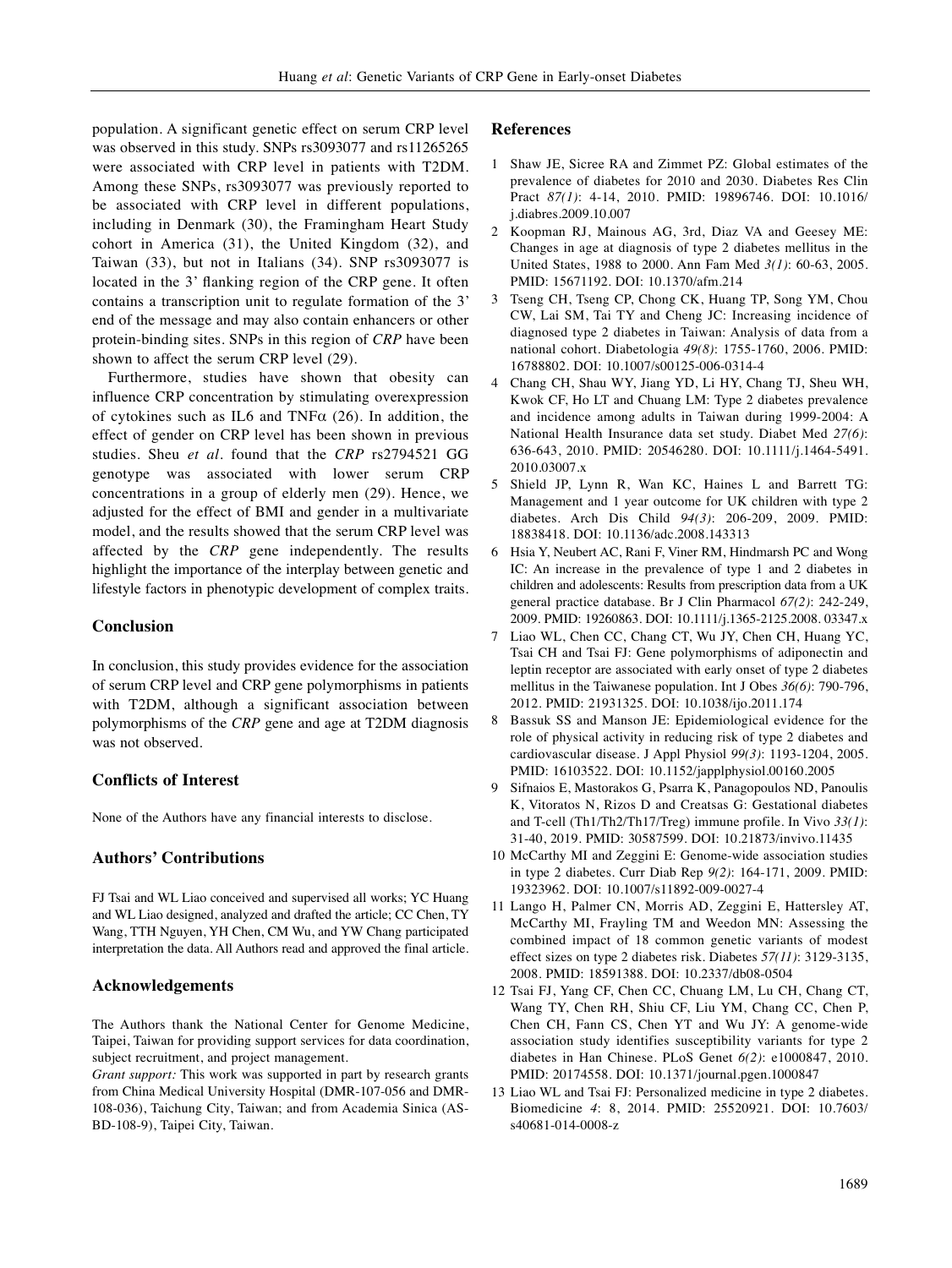population. A significant genetic effect on serum CRP level was observed in this study. SNPs rs3093077 and rs11265265 were associated with CRP level in patients with T2DM. Among these SNPs, rs3093077 was previously reported to be associated with CRP level in different populations, including in Denmark (30), the Framingham Heart Study cohort in America (31), the United Kingdom (32), and Taiwan (33), but not in Italians (34). SNP rs3093077 is located in the 3' flanking region of the CRP gene. It often contains a transcription unit to regulate formation of the 3' end of the message and may also contain enhancers or other protein-binding sites. SNPs in this region of *CRP* have been shown to affect the serum CRP level (29).

Furthermore, studies have shown that obesity can influence CRP concentration by stimulating overexpression of cytokines such as IL6 and TNF $\alpha$  (26). In addition, the effect of gender on CRP level has been shown in previous studies. Sheu *et al.* found that the *CRP* rs2794521 GG genotype was associated with lower serum CRP concentrations in a group of elderly men (29). Hence, we adjusted for the effect of BMI and gender in a multivariate model, and the results showed that the serum CRP level was affected by the *CRP* gene independently. The results highlight the importance of the interplay between genetic and lifestyle factors in phenotypic development of complex traits.

## **Conclusion**

In conclusion, this study provides evidence for the association of serum CRP level and CRP gene polymorphisms in patients with T2DM, although a significant association between polymorphisms of the *CRP* gene and age at T2DM diagnosis was not observed.

## **Conflicts of Interest**

None of the Authors have any financial interests to disclose.

### **Authors' Contributions**

FJ Tsai and WL Liao conceived and supervised all works; YC Huang and WL Liao designed, analyzed and drafted the article; CC Chen, TY Wang, TTH Nguyen, YH Chen, CM Wu, and YW Chang participated interpretation the data. All Authors read and approved the final article.

## **Acknowledgements**

The Authors thank the National Center for Genome Medicine, Taipei, Taiwan for providing support services for data coordination, subject recruitment, and project management.

*Grant support:* This work was supported in part by research grants from China Medical University Hospital (DMR-107-056 and DMR-108-036), Taichung City, Taiwan; and from Academia Sinica (AS-BD-108-9), Taipei City, Taiwan.

#### **References**

- 1 Shaw JE, Sicree RA and Zimmet PZ: Global estimates of the prevalence of diabetes for 2010 and 2030. Diabetes Res Clin Pract *87(1)*: 4-14, 2010. PMID: 19896746. DOI: 10.1016/ j.diabres.2009.10.007
- 2 Koopman RJ, Mainous AG, 3rd, Diaz VA and Geesey ME: Changes in age at diagnosis of type 2 diabetes mellitus in the United States, 1988 to 2000. Ann Fam Med *3(1)*: 60-63, 2005. PMID: 15671192. DOI: 10.1370/afm.214
- 3 Tseng CH, Tseng CP, Chong CK, Huang TP, Song YM, Chou CW, Lai SM, Tai TY and Cheng JC: Increasing incidence of diagnosed type 2 diabetes in Taiwan: Analysis of data from a national cohort. Diabetologia *49(8)*: 1755-1760, 2006. PMID: 16788802. DOI: 10.1007/s00125-006-0314-4
- 4 Chang CH, Shau WY, Jiang YD, Li HY, Chang TJ, Sheu WH, Kwok CF, Ho LT and Chuang LM: Type 2 diabetes prevalence and incidence among adults in Taiwan during 1999-2004: A National Health Insurance data set study. Diabet Med *27(6)*: 636-643, 2010. PMID: 20546280. DOI: 10.1111/j.1464-5491. 2010.03007.x
- 5 Shield JP, Lynn R, Wan KC, Haines L and Barrett TG: Management and 1 year outcome for UK children with type 2 diabetes. Arch Dis Child *94(3)*: 206-209, 2009. PMID: 18838418. DOI: 10.1136/adc.2008.143313
- 6 Hsia Y, Neubert AC, Rani F, Viner RM, Hindmarsh PC and Wong IC: An increase in the prevalence of type 1 and 2 diabetes in children and adolescents: Results from prescription data from a UK general practice database. Br J Clin Pharmacol *67(2)*: 242-249, 2009. PMID: 19260863. DOI: 10.1111/j.1365-2125.2008. 03347.x
- 7 Liao WL, Chen CC, Chang CT, Wu JY, Chen CH, Huang YC, Tsai CH and Tsai FJ: Gene polymorphisms of adiponectin and leptin receptor are associated with early onset of type 2 diabetes mellitus in the Taiwanese population. Int J Obes *36(6)*: 790-796, 2012. PMID: 21931325. DOI: 10.1038/ijo.2011.174
- 8 Bassuk SS and Manson JE: Epidemiological evidence for the role of physical activity in reducing risk of type 2 diabetes and cardiovascular disease. J Appl Physiol *99(3)*: 1193-1204, 2005. PMID: 16103522. DOI: 10.1152/japplphysiol.00160.2005
- 9 Sifnaios E, Mastorakos G, Psarra K, Panagopoulos ND, Panoulis K, Vitoratos N, Rizos D and Creatsas G: Gestational diabetes and T-cell (Th1/Th2/Th17/Treg) immune profile. In Vivo *33(1)*: 31-40, 2019. PMID: 30587599. DOI: 10.21873/invivo.11435
- 10 McCarthy MI and Zeggini E: Genome-wide association studies in type 2 diabetes. Curr Diab Rep *9(2)*: 164-171, 2009. PMID: 19323962. DOI: 10.1007/s11892-009-0027-4
- 11 Lango H, Palmer CN, Morris AD, Zeggini E, Hattersley AT, McCarthy MI, Frayling TM and Weedon MN: Assessing the combined impact of 18 common genetic variants of modest effect sizes on type 2 diabetes risk. Diabetes *57(11)*: 3129-3135, 2008. PMID: 18591388. DOI: 10.2337/db08-0504
- 12 Tsai FJ, Yang CF, Chen CC, Chuang LM, Lu CH, Chang CT, Wang TY, Chen RH, Shiu CF, Liu YM, Chang CC, Chen P, Chen CH, Fann CS, Chen YT and Wu JY: A genome-wide association study identifies susceptibility variants for type 2 diabetes in Han Chinese. PLoS Genet *6(2)*: e1000847, 2010. PMID: 20174558. DOI: 10.1371/journal.pgen.1000847
- 13 Liao WL and Tsai FJ: Personalized medicine in type 2 diabetes. Biomedicine *4*: 8, 2014. PMID: 25520921. DOI: 10.7603/ s40681-014-0008-z